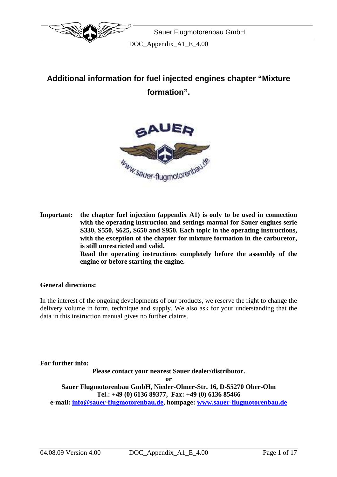

# **Additional information for fuel injected engines chapter "Mixture formation".**



**Important: the chapter fuel injection (appendix A1) is only to be used in connection with the operating instruction and settings manual for Sauer engines serie S330, S550, S625, S650 and S950. Each topic in the operating instructions, with the exception of the chapter for mixture formation in the carburetor, is still unrestricted and valid. Read the operating instructions completely before the assembly of the engine or before starting the engine.** 

#### **General directions:**

In the interest of the ongoing developments of our products, we reserve the right to change the delivery volume in form, technique and supply. We also ask for your understanding that the data in this instruction manual gives no further claims.

**For further info:** 

**Please contact your nearest Sauer dealer/distributor.** 

**or** 

**Sauer Flugmotorenbau GmbH, Nieder-Olmer-Str. 16, D-55270 Ober-Olm Tel.: +49 (0) 6136 89377, Fax: +49 (0) 6136 85466** 

**e-mail: info@sauer-flugmotorenbau.de, hompage: www.sauer-flugmotorenbau.de**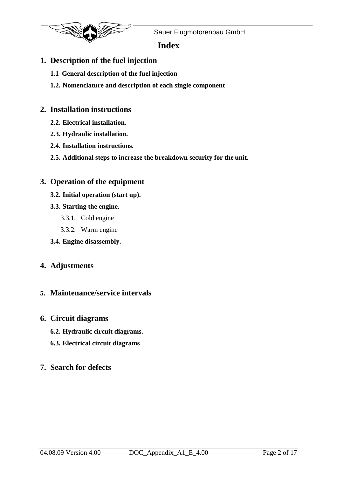

## **Index**

## **1. Description of the fuel injection**

- **1.1 General description of the fuel injection**
- **1.2. Nomenclature and description of each single component**

## **2. Installation instructions**

- **2.2. Electrical installation.**
- **2.3. Hydraulic installation.**
- **2.4. Installation instructions.**
- **2.5. Additional steps to increase the breakdown security for the unit.**

## **3. Operation of the equipment**

- **3.2. Initial operation (start up).**
- **3.3. Starting the engine.** 
	- 3.3.1. Cold engine
	- 3.3.2. Warm engine
- **3.4. Engine disassembly.**

### **4. Adjustments**

### **5. Maintenance/service intervals**

### **6. Circuit diagrams**

- **6.2. Hydraulic circuit diagrams.**
- **6.3. Electrical circuit diagrams**

### **7. Search for defects**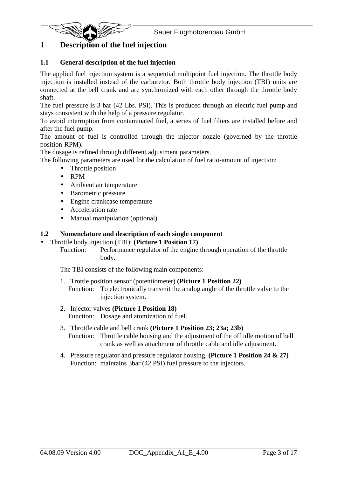

## **1 Description of the fuel injection**

### **1.1 General description of the fuel injection**

The applied fuel injection system is a sequential multipoint fuel injection. The throttle body injection is installed instead of the carburetor. Both throttle body injection (TBI) units are connected at the bell crank and are synchronized with each other through the throttle body shaft.

The fuel pressure is 3 bar (42 Lbs. PSI). This is produced through an electric fuel pump and stays consistent with the help of a pressure regulator.

To avoid interruption from contaminated fuel, a series of fuel filters are installed before and after the fuel pump.

The amount of fuel is controlled through the injector nozzle (governed by the throttle position-RPM).

The dosage is refined through different adjustment parameters.

The following parameters are used for the calculation of fuel ratio-amount of injection:

- Throttle position
- RPM
- Ambient air temperature
- Barometric pressure
- Engine crankcase temperature
- Acceleration rate
- Manual manipulation (optional)

#### **1.2 Nomenclature and description of each single component**

• Throttle body injection (TBI): **(Picture 1 Position 17)**

Function: Performance regulator of the engine through operation of the throttle body.

The TBI consists of the following main components:

- 1. Trottle position sensor (potentiometer) **(Picture 1 Position 22)** Function: To electronically transmit the analog angle of the throttle valve to the injection system.
- 2. Injector valves **(Picture 1 Position 18)** Function: Dosage and atomization of fuel.
- 3. Throttle cable and bell crank **(Picture 1 Position 23; 23a; 23b)** Function: Throttle cable housing and the adjustment of the off idle motion of bell crank as well as attachment of throttle cable and idle adjustment.
- 4. Pressure regulator and pressure regulator housing. **(Picture 1 Position 24 & 27)** Function: maintains 3bar (42 PSI) fuel pressure to the injectors.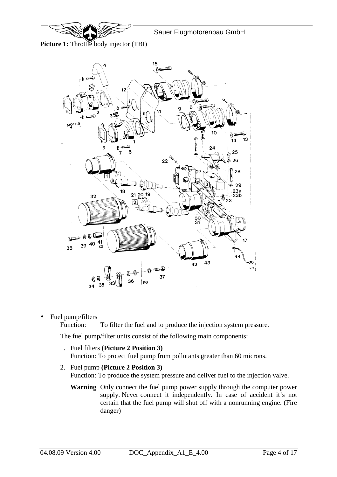

**Picture 1:** Throttle body injector (TBI)



• Fuel pump/filters

Function: To filter the fuel and to produce the injection system pressure.

The fuel pump/filter units consist of the following main components:

- 1. Fuel filters **(Picture 2 Position 3)** Function: To protect fuel pump from pollutants greater than 60 microns.
- 2. Fuel pump **(Picture 2 Position 3)** Function: To produce the system pressure and deliver fuel to the injection valve.
	- **Warning** Only connect the fuel pump power supply through the computer power supply. Never connect it independently. In case of accident it's not certain that the fuel pump will shut off with a nonrunning engine. (Fire danger)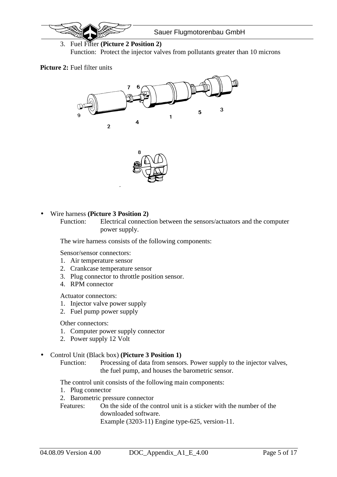

3. Fuel Filter **(Picture 2 Position 2)** Function: Protect the injector valves from pollutants greater than 10 microns

#### **Picture 2:** Fuel filter units



#### • Wire harness **(Picture 3 Position 2)**

Function: Electrical connection between the sensors/actuators and the computer power supply.

The wire harness consists of the following components:

Sensor/sensor connectors:

- 1. Air temperature sensor
- 2. Crankcase temperature sensor
- 3. Plug connector to throttle position sensor.
- 4. RPM connector

Actuator connectors:

- 1. Injector valve power supply
- 2. Fuel pump power supply

Other connectors:

- 1. Computer power supply connector
- 2. Power supply 12 Volt

#### • Control Unit (Black box) **(Picture 3 Position 1)**

Function: Processing of data from sensors. Power supply to the injector valves, the fuel pump, and houses the barometric sensor.

The control unit consists of the following main components:

- 1. Plug connector
- 2. Barometric pressure connector

Features: On the side of the control unit is a sticker with the number of the downloaded software.

Example (3203-11) Engine type-625, version-11.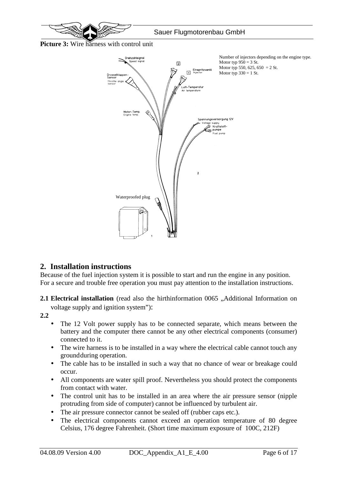

Picture 3: Wire harness with control unit



## **2. Installation instructions**

Because of the fuel injection system it is possible to start and run the engine in any position. For a secure and trouble free operation you must pay attention to the installation instructions.

**2.1 Electrical installation** (read also the hirthinformation 0065 , Additional Information on

voltage supply and ignition system"):

**2.2**

- The 12 Volt power supply has to be connected separate, which means between the battery and the computer there cannot be any other electrical components (consumer) connected to it.
- The wire harness is to be installed in a way where the electrical cable cannot touch any ground during operation.
- The cable has to be installed in such a way that no chance of wear or breakage could occur.
- All components are water spill proof. Nevertheless you should protect the components from contact with water.
- The control unit has to be installed in an area where the air pressure sensor (nipple protruding from side of computer) cannot be influenced by turbulent air.
- The air pressure connector cannot be sealed off (rubber caps etc.).
- The electrical components cannot exceed an operation temperature of 80 degree Celsius, 176 degree Fahrenheit. (Short time maximum exposure of 100C, 212F)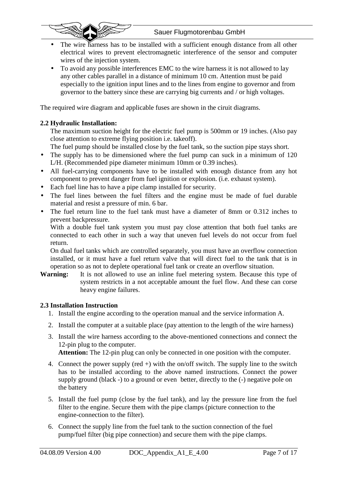

- The wire harness has to be installed with a sufficient enough distance from all other electrical wires to prevent electromagnetic interference of the sensor and computer wires of the injection system.
- To avoid any possible interferences EMC to the wire harness it is not allowed to lay any other cables parallel in a distance of minimum 10 cm. Attention must be paid especially to the ignition input lines and to the lines from engine to governor and from governor to the battery since these are carrying big currents and / or high voltages.

The required wire diagram and applicable fuses are shown in the ciruit diagrams.

### **2.2 Hydraulic Installation:**

The maximum suction height for the electric fuel pump is 500mm or 19 inches. (Also pay close attention to extreme flying position i.e. takeoff).

The fuel pump should be installed close by the fuel tank, so the suction pipe stays short.

- The supply has to be dimensioned where the fuel pump can suck in a minimum of 120 L/H. (Recommended pipe diameter minimum 10mm or 0.39 inches).
- All fuel-carrying components have to be installed with enough distance from any hot component to prevent danger from fuel ignition or explosion. (i.e. exhaust system).
- Each fuel line has to have a pipe clamp installed for security.
- The fuel lines between the fuel filters and the engine must be made of fuel durable material and resist a pressure of min. 6 bar.
- The fuel return line to the fuel tank must have a diameter of 8mm or 0.312 inches to prevent backpressure.

With a double fuel tank system you must pay close attention that both fuel tanks are connected to each other in such a way that uneven fuel levels do not occur from fuel return.

On dual fuel tanks which are controlled separately, you must have an overflow connection installed, or it must have a fuel return valve that will direct fuel to the tank that is in operation so as not to deplete operational fuel tank or create an overflow situation.

**Warning:** It is not allowed to use an inline fuel metering system. Because this type of system restricts in a not acceptable amount the fuel flow. And these can corse heavy engine failures.

### **2.3 Installation Instruction**

- 1. Install the engine according to the operation manual and the service information A.
- 2. Install the computer at a suitable place (pay attention to the length of the wire harness)
- 3. Install the wire harness according to the above-mentioned connections and connect the 12-pin plug to the computer. **Attention:** The 12-pin plug can only be connected in one position with the computer.
- 4. Connect the power supply (red +) with the on/off switch. The supply line to the switch
- has to be installed according to the above named instructions. Connect the power supply ground (black -) to a ground or even better, directly to the  $(-)$  negative pole on the battery
- 5. Install the fuel pump (close by the fuel tank), and lay the pressure line from the fuel filter to the engine. Secure them with the pipe clamps (picture connection to the engine-connection to the filter).
- 6. Connect the supply line from the fuel tank to the suction connection of the fuel pump/fuel filter (big pipe connection) and secure them with the pipe clamps.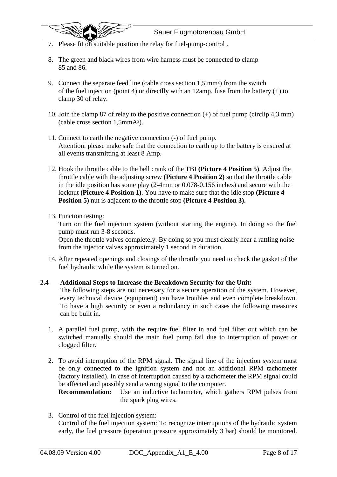- 7. Please fit on suitable position the relay for fuel-pump-control.
- 8. The green and black wires from wire harness must be connected to clamp 85 and 86.
- 9. Connect the separate feed line (cable cross section 1,5 mm²) from the switch of the fuel injection (point 4) or directlly with an 12amp. fuse from the battery  $(+)$  to clamp 30 of relay.
- 10. Join the clamp 87 of relay to the positive connection (+) of fuel pump (circlip 4,3 mm) (cable cross section 1,5mmA²).
- 11. Connect to earth the negative connection (-) of fuel pump. Attention: please make safe that the connection to earth up to the battery is ensured at all events transmitting at least 8 Amp.
- 12. Hook the throttle cable to the bell crank of the TBI **(Picture 4 Position 5)**. Adjust the throttle cable with the adjusting screw **(Picture 4 Position 2)** so that the throttle cable in the idle position has some play (2-4mm or 0.078-0.156 inches) and secure with the locknut **(Picture 4 Position 1)**. You have to make sure that the idle stop **(Picture 4 Position 5)** nut is adjacent to the throttle stop **(Picture 4 Position 3).**
- 13. Function testing:

 $\ddot{\phantom{0}}$ 

Turn on the fuel injection system (without starting the engine). In doing so the fuel pump must run 3-8 seconds.

Open the throttle valves completely. By doing so you must clearly hear a rattling noise from the injector valves approximately 1 second in duration.

14. After repeated openings and closings of the throttle you need to check the gasket of the fuel hydraulic while the system is turned on.

#### **2.4 Additional Steps to Increase the Breakdown Security for the Unit:**

The following steps are not necessary for a secure operation of the system. However, every technical device (equipment) can have troubles and even complete breakdown. To have a high security or even a redundancy in such cases the following measures can be built in.

- 1. A parallel fuel pump, with the require fuel filter in and fuel filter out which can be switched manually should the main fuel pump fail due to interruption of power or clogged filter.
- 2. To avoid interruption of the RPM signal. The signal line of the injection system must be only connected to the ignition system and not an additional RPM tachometer (factory installed). In case of interruption caused by a tachometer the RPM signal could be affected and possibly send a wrong signal to the computer.

**Recommendation:** Use an inductive tachometer, which gathers RPM pulses from the spark plug wires.

3. Control of the fuel injection system: Control of the fuel injection system: To recognize interruptions of the hydraulic system early, the fuel pressure (operation pressure approximately 3 bar) should be monitored.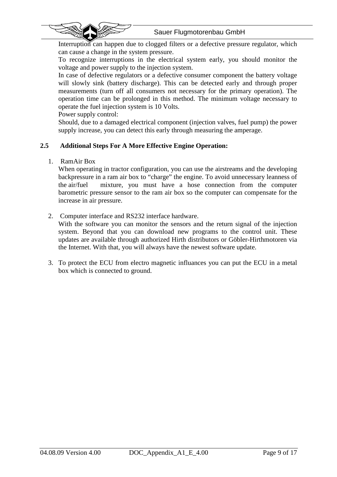



To recognize interruptions in the electrical system early, you should monitor the voltage and power supply to the injection system.

In case of defective regulators or a defective consumer component the battery voltage will slowly sink (battery discharge). This can be detected early and through proper measurements (turn off all consumers not necessary for the primary operation). The operation time can be prolonged in this method. The minimum voltage necessary to operate the fuel injection system is 10 Volts.

Power supply control:

Should, due to a damaged electrical component (injection valves, fuel pump) the power supply increase, you can detect this early through measuring the amperage.

### **2.5 Additional Steps For A More Effective Engine Operation:**

1. RamAir Box

 $\ddot{\phantom{0}}$ 

When operating in tractor configuration, you can use the airstreams and the developing backpressure in a ram air box to "charge" the engine. To avoid unnecessary leanness of the air/fuel mixture, you must have a hose connection from the computer barometric pressure sensor to the ram air box so the computer can compensate for the increase in air pressure.

2. Computer interface and RS232 interface hardware.

With the software you can monitor the sensors and the return signal of the injection system. Beyond that you can download new programs to the control unit. These updates are available through authorized Hirth distributors or Göbler-Hirthmotoren via the Internet. With that, you will always have the newest software update.

3. To protect the ECU from electro magnetic influances you can put the ECU in a metal box which is connected to ground.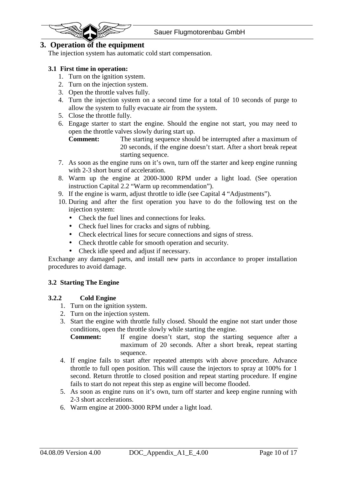

## **3. Operation of the equipment**

The injection system has automatic cold start compensation.

#### **3.1 First time in operation:**

- 1. Turn on the ignition system.
- 2. Turn on the injection system.
- 3. Open the throttle valves fully.
- 4. Turn the injection system on a second time for a total of 10 seconds of purge to allow the system to fully evacuate air from the system.
- 5. Close the throttle fully.
- 6. Engage starter to start the engine. Should the engine not start, you may need to open the throttle valves slowly during start up.

**Comment:** The starting sequence should be interrupted after a maximum of 20 seconds, if the engine doesn't start. After a short break repeat starting sequence.

- 7. As soon as the engine runs on it's own, turn off the starter and keep engine running with 2-3 short burst of acceleration.
- 8. Warm up the engine at 2000-3000 RPM under a light load. (See operation instruction Capital 2.2 "Warm up recommendation").
- 9. If the engine is warm, adjust throttle to idle (see Capital 4 "Adjustments").
- 10. During and after the first operation you have to do the following test on the injection system:
	- Check the fuel lines and connections for leaks.
	- Check fuel lines for cracks and signs of rubbing.
	- Check electrical lines for secure connections and signs of stress.
	- Check throttle cable for smooth operation and security.
	- Check idle speed and adjust if necessary.

Exchange any damaged parts, and install new parts in accordance to proper installation procedures to avoid damage.

#### **3.2 Starting The Engine**

#### **3.2.2 Cold Engine**

- 1. Turn on the ignition system.
- 2. Turn on the injection system.
- 3. Start the engine with throttle fully closed. Should the engine not start under those conditions, open the throttle slowly while starting the engine.

**Comment:** If engine doesn't start, stop the starting sequence after a maximum of 20 seconds. After a short break, repeat starting sequence.

- 4. If engine fails to start after repeated attempts with above procedure. Advance throttle to full open position. This will cause the injectors to spray at 100% for 1 second. Return throttle to closed position and repeat starting procedure. If engine fails to start do not repeat this step as engine will become flooded.
- 5. As soon as engine runs on it's own, turn off starter and keep engine running with 2-3 short accelerations.
- 6. Warm engine at 2000-3000 RPM under a light load.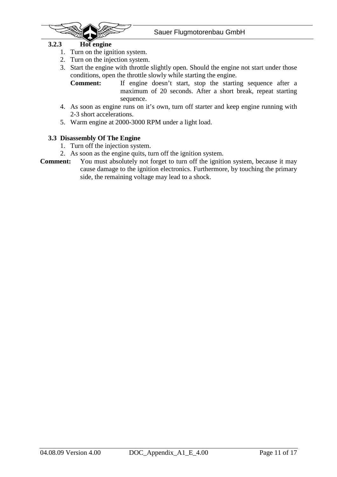

#### **3.2.3 Hot engine**

- 1. Turn on the ignition system.
- 2. Turn on the injection system.
- 3. Start the engine with throttle slightly open. Should the engine not start under those conditions, open the throttle slowly while starting the engine.

**Comment:** If engine doesn't start, stop the starting sequence after a maximum of 20 seconds. After a short break, repeat starting sequence.

- 4. As soon as engine runs on it's own, turn off starter and keep engine running with 2-3 short accelerations.
- 5. Warm engine at 2000-3000 RPM under a light load.

#### **3.3 Disassembly Of The Engine**

- 1. Turn off the injection system.
- 2. As soon as the engine quits, turn off the ignition system.
- **Comment:** You must absolutely not forget to turn off the ignition system, because it may cause damage to the ignition electronics. Furthermore, by touching the primary side, the remaining voltage may lead to a shock.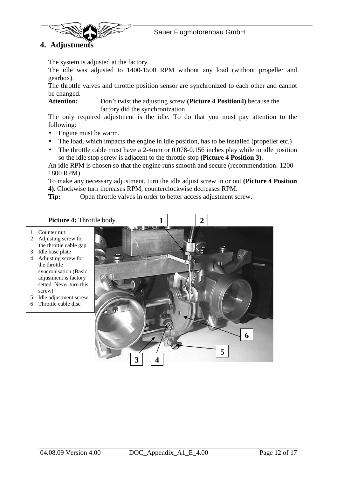

 $\ddot{\phantom{0}}$ 

The system is adjusted at the factory.

The idle was adjusted to 1400-1500 RPM without any load (without propeller and gearbox).

The throttle valves and throttle position sensor are synchronized to each other and cannot be changed.

**Attention:** Don't twist the adjusting screw **(Picture 4 Position4)** because the factory did the synchronization.

The only required adjustment is the idle. To do that you must pay attention to the following:

- Engine must be warm.
- The load, which impacts the engine in idle position, has to be installed (propeller etc.)
- The throttle cable must have a 2-4mm or 0.078-0.156 inches play while in idle position so the idle stop screw is adjacent to the throttle stop **(Picture 4 Position 3)**.

An idle RPM is chosen so that the engine runs smooth and secure (recommendation: 1200- 1800 RPM)

To make any necessary adjustment, turn the idle adjust screw in or out **(Picture 4 Position 4).** Clockwise turn increases RPM, counterclockwise decreases RPM.

**Tip:** Open throttle valves in order to better access adjustment screw.

#### Picture 4: Throttle body.

- 1 Counter nut
- 2 Adjusting screw for the throttle cable gap
- 3 Idle base plate
- 4 Adjusting screw for the throttle syncronisation (Basic adjustment is factory setted. Never turn this screw)
- 5 Idle adjustment screw
- 6 Throttle cable disc

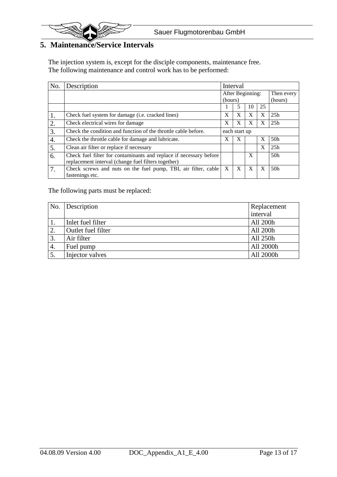

## **5. Maintenance/Service Intervals**

The injection system is, except for the disciple components, maintenance free. The following maintenance and control work has to be performed:

| No. | Description                                                                                                               | Interval         |   |    |              |         |  |
|-----|---------------------------------------------------------------------------------------------------------------------------|------------------|---|----|--------------|---------|--|
|     |                                                                                                                           | After Beginning: |   |    | Then every   |         |  |
|     |                                                                                                                           | (hours)          |   |    |              | (hours) |  |
|     |                                                                                                                           |                  |   | 10 | 25           |         |  |
| 1.  | Check fuel system for damage (i.e. cracked lines)                                                                         | X                | X | X  | X            | 25h     |  |
| 2.  | Check electrical wires for damage                                                                                         | X                | X | X  | X            | 25h     |  |
| 3.  | Check the condition and function of the throttle cable before.                                                            | each start up    |   |    |              |         |  |
| 4.  | Check the throttle cable for damage and lubricate.                                                                        | X                | X |    | $\mathbf{X}$ | 50h     |  |
| 5.  | Clean air filter or replace if necessary                                                                                  |                  |   |    | X            | 25h     |  |
| 6.  | Check fuel filter for contaminants and replace if necessary before<br>replacement interval (change fuel filters together) |                  |   | X  |              | 50h     |  |
| 7.  | Check screws and nuts on the fuel pump, TBI, air filter, cable                                                            | X                | X | X  | X            | 50h     |  |
|     | fastenings etc.                                                                                                           |                  |   |    |              |         |  |

The following parts must be replaced:

| No. | Description        | Replacement |  |
|-----|--------------------|-------------|--|
|     |                    | interval    |  |
|     | Inlet fuel filter  | All 200h    |  |
| 2.  | Outlet fuel filter | All 200h    |  |
| 3.  | Air filter         | All 250h    |  |
| 4.  | Fuel pump          | All 2000h   |  |
|     | Injector valves    | All 2000h   |  |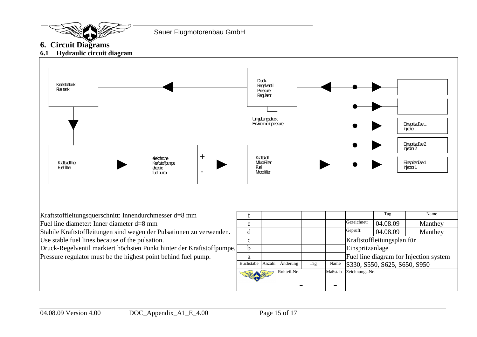

## **6. Circuit Diagrams**

## **6.1 Hydraulic circuit diagram**

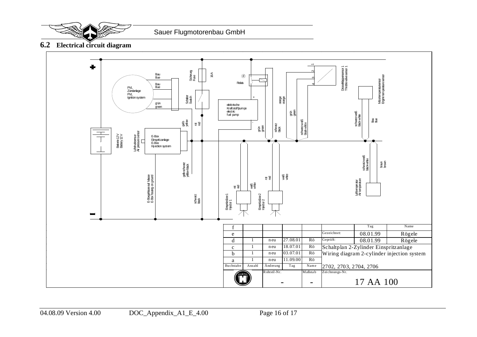

**6.2 Electrical circuit diagram**